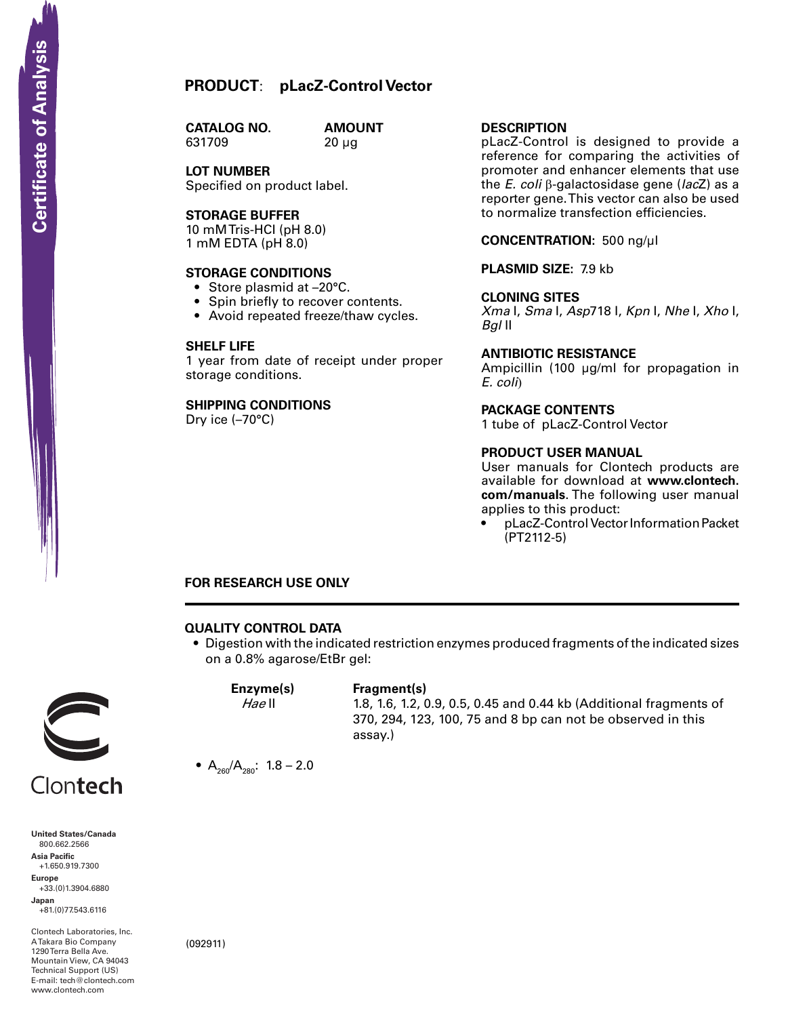**CATALOG NO.** 631709 20 µg

**AMOUNT** 

**LOT NUMBER** Specified on product label.

#### **Storage Buffer**

10 mM Tris-HCI (pH 8.0) 1 mM EDTA (pH 8.0)

#### **STORAGE CONDITIONS**

- Store plasmid at -20°C.
- Spin briefly to recover contents.
- Avoid repeated freeze/thaw cycles.

#### **SHELF LIFE**

1 year from date of receipt under proper storage conditions.

### **SHIPPING CONDITIONS**

Dry ice (–70°C)

#### **Description**

pLacZ-Control is designed to provide a reference for comparing the activities of promoter and enhancer elements that use the *E. coli* β-galactosidase gene (*lac*Z) as a reporter gene. This vector can also be used to normalize transfection efficiencies.

#### **Concentration:** 500 ng/µl

**Plasmid Size:** 7.9 kb

#### **Cloning Sites**

*Xma* I, *Sma* I, *Asp*718 I, *Kpn* I, *Nhe* I, *Xho* I, *Bgl* II

#### **Antibiotic Resistance**

Ampicillin (100 µg/ml for propagation in *E. coli*)

#### **Package contents**

1 tube of pLacZ-Control Vector

#### **product user manual**

User manuals for Clontech products are available for download at **www.clontech. com/manuals**. The following user manual applies to this product:

pLacZ-Control Vector Information Packet (PT2112-5)

#### **FOR RESEARCH USE ONLY**

#### **QUALITY CONTROL DATA**

• Digestion with the indicated restriction enzymes produced fragments of the indicated sizes on a 0.8% agarose/EtBr gel:



**United States/Canada** 800.662.2566 **Asia Pacific** +1.650.919.7300 **Europe** +33.(0)1.3904.6880 **Japan** +81.(0)77.543.6116 **SCRIPT CONTREST**<br>
United States/Cana<br>
800.662.2566<br>
Asia Pacific<br>
+1.650.919.7300<br>
Happer<br>
+33.(0)1.3904.688<br>
Japan<br>
-81.(0)77.543.6116<br>
ATakara Bio Compa<br>
Mountain View, CA<br>
Hechnical Support (<br>
Hechnical Support (<br>
Hech

Clontech Laboratories, Inc. A Takara Bio Company 1290 Terra Bella Ave. Mountain View, CA 94043 Technical Support (US) E-mail: tech@clontech.com<br>www.clontech.com

(092911)



## **Enzyme(s) Fragment(s)**

assay.)

## *Hae* II 1.8, 1.6, 1.2, 0.9, 0.5, 0.45 and 0.44 kb (Additional fragments of 370, 294, 123, 100, 75 and 8 bp can not be observed in this

•  $A_{260}/A_{280}$ : 1.8 – 2.0